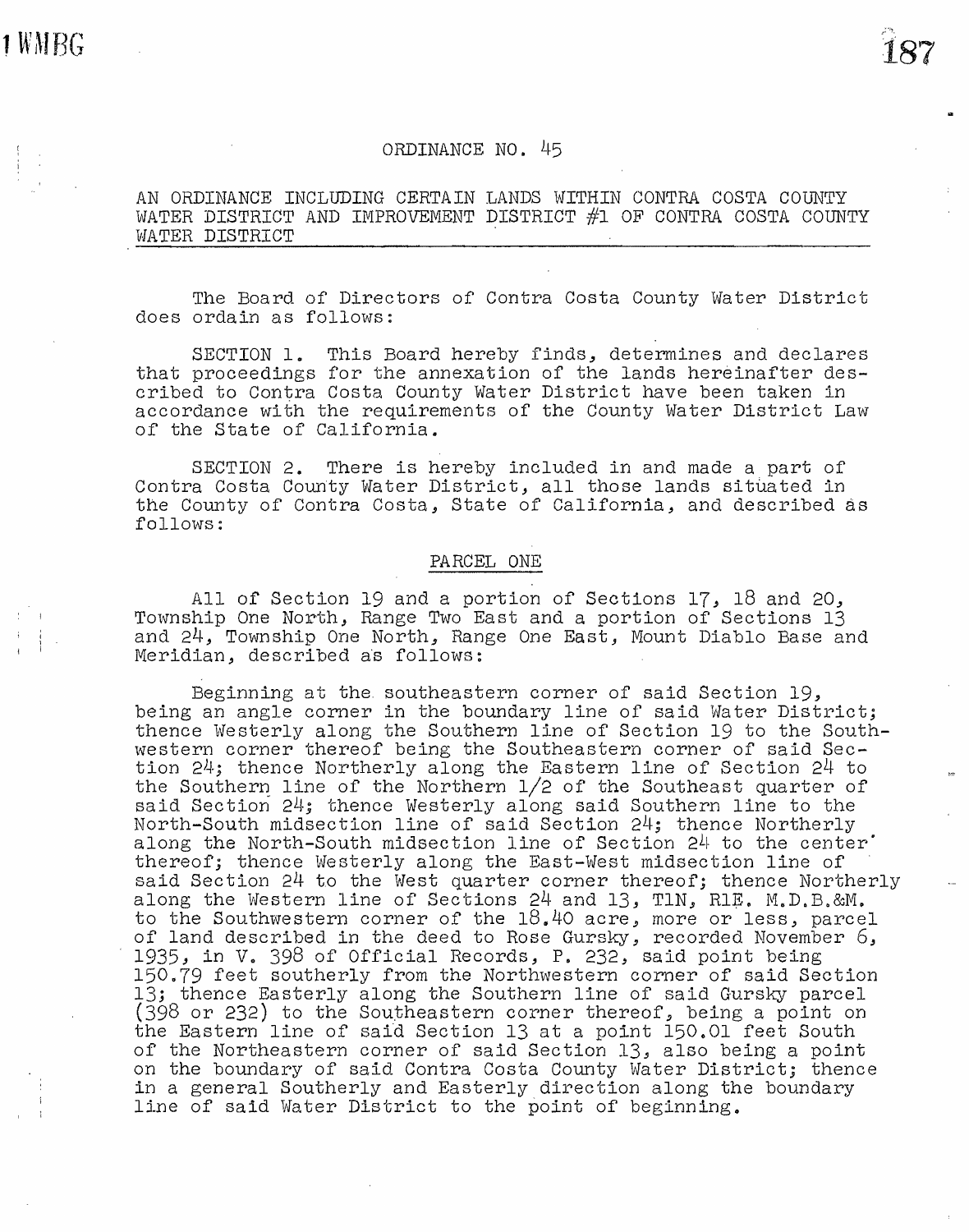I 1 i i

## ORDINANCE NO. *l~5*

AN ORDINANCE INCLUDING CERTAIN LANDS WITHIN CONTRA COSTA COUNTY WATER DISTRICT AND IMPROVEMENT DISTRICT #1 OF CONTRA COSTA COUNTY WATER DISTRICT .

The Board of Directors of Contra Costa County Water District does ordain as follows:

SECTION 1. This Board hereby finds, determines and declares that proceedings for the annexation of the lands hereinafter described to Contra Costa County Water District have been taken in accordance with the requirements of the County Water District Law of the State of California.

SECTION 2. There is hereby included in and made a part of Contra Costa County Water District, all those lands situated in the County of Contra Costa, State of California, and described as follows:

## PARCEL ONE

All of Section 19 and a portion of Sections 17, 18 and 20, Township One North, Range Two East and a portion of Sections 13 and 24., Township One North, Range One East, Mount Diablo Base and Meridian, described as follows:

Beginning at the southeastern corner of said Section 19, being an angle corner in the boundary line of said Water District; thence Westerly along the Southern line of Section 19 to the Southwestern corner thereof being the Southeastern corner of said Section  $24$ ; thence Northerly along the Eastern line of Section  $24$  to the Southern line of the Northern  $1/2$  of the Southeast quarter of said Section  $24$ ; thence Westerly along said Southern line to the North-South midsection line of said Section 24; thence Northerly along the North-South midsection line of Section 24 to the center· thereof; thence Westerly along the East-West midsection line of said Section 24 to the West quarter corner thereof; thence Northerly along the Western line of Sections 24 and 13, TlN, RlE. M.D.B.&M. to the Southwestern corner of the 18.40 acre, more or less, parcel of land described in the deed to Rose Gursky, recorded November 6, 1935, in V. 398 of Official Records, P. 232, said point being 150.79 feet southerly from the Northwestern corner of said Section 13; thence Easterly along the Southern line of said Gursky parcel (398 or 232) to the Southeastern corner thereof, being a point on the Eastern line of said Section 13 at a point 150.01 feet South of the Northeastern corner of said Section 13, also being a point on the boundary of said Contra Costa County Water District; thence in a general Southerly and Easterly direction along the boundary line of said Water District to the point of beginning.